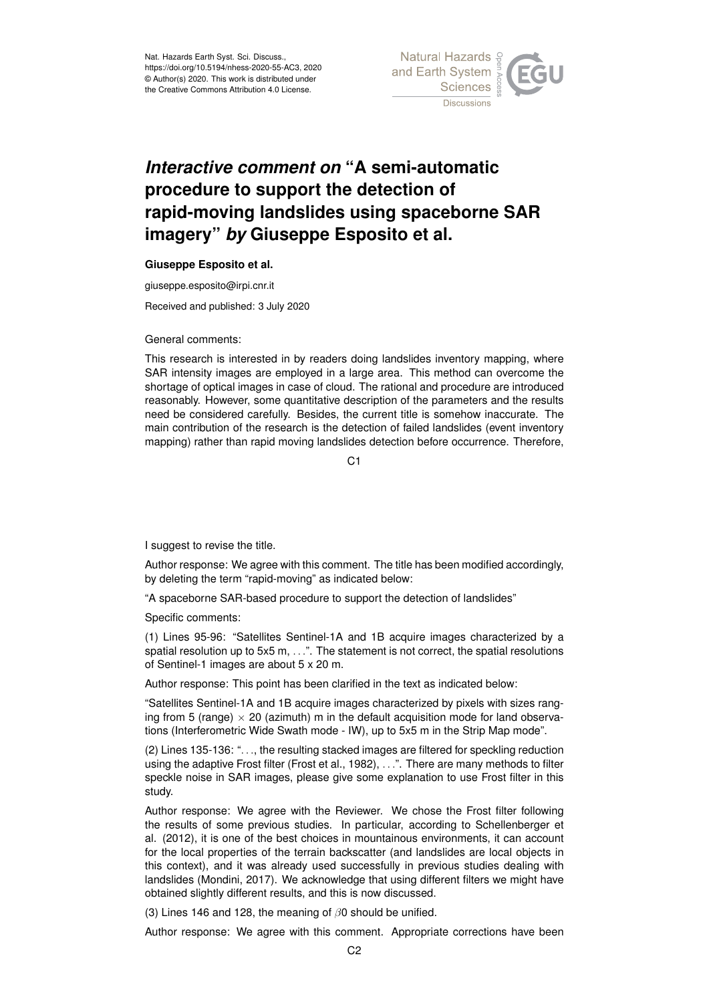Nat. Hazards Earth Syst. Sci. Discuss., https://doi.org/10.5194/nhess-2020-55-AC3, 2020 © Author(s) 2020. This work is distributed under the Creative Commons Attribution 4.0 License.



## *Interactive comment on* **"A semi-automatic procedure to support the detection of rapid-moving landslides using spaceborne SAR imagery"** *by* **Giuseppe Esposito et al.**

## **Giuseppe Esposito et al.**

giuseppe.esposito@irpi.cnr.it

Received and published: 3 July 2020

General comments:

This research is interested in by readers doing landslides inventory mapping, where SAR intensity images are employed in a large area. This method can overcome the shortage of optical images in case of cloud. The rational and procedure are introduced reasonably. However, some quantitative description of the parameters and the results need be considered carefully. Besides, the current title is somehow inaccurate. The main contribution of the research is the detection of failed landslides (event inventory mapping) rather than rapid moving landslides detection before occurrence. Therefore,

 $C<sub>1</sub>$ 

I suggest to revise the title.

Author response: We agree with this comment. The title has been modified accordingly, by deleting the term "rapid-moving" as indicated below:

"A spaceborne SAR-based procedure to support the detection of landslides"

Specific comments:

(1) Lines 95-96: "Satellites Sentinel-1A and 1B acquire images characterized by a spatial resolution up to 5x5 m, . . .". The statement is not correct, the spatial resolutions of Sentinel-1 images are about 5 x 20 m.

Author response: This point has been clarified in the text as indicated below:

"Satellites Sentinel-1A and 1B acquire images characterized by pixels with sizes ranging from 5 (range)  $\times$  20 (azimuth) m in the default acquisition mode for land observations (Interferometric Wide Swath mode - IW), up to 5x5 m in the Strip Map mode".

(2) Lines 135-136: ". . ., the resulting stacked images are filtered for speckling reduction using the adaptive Frost filter (Frost et al., 1982), . . .". There are many methods to filter speckle noise in SAR images, please give some explanation to use Frost filter in this study.

Author response: We agree with the Reviewer. We chose the Frost filter following the results of some previous studies. In particular, according to Schellenberger et al. (2012), it is one of the best choices in mountainous environments, it can account for the local properties of the terrain backscatter (and landslides are local objects in this context), and it was already used successfully in previous studies dealing with landslides (Mondini, 2017). We acknowledge that using different filters we might have obtained slightly different results, and this is now discussed.

(3) Lines 146 and 128, the meaning of  $\beta$ 0 should be unified.

Author response: We agree with this comment. Appropriate corrections have been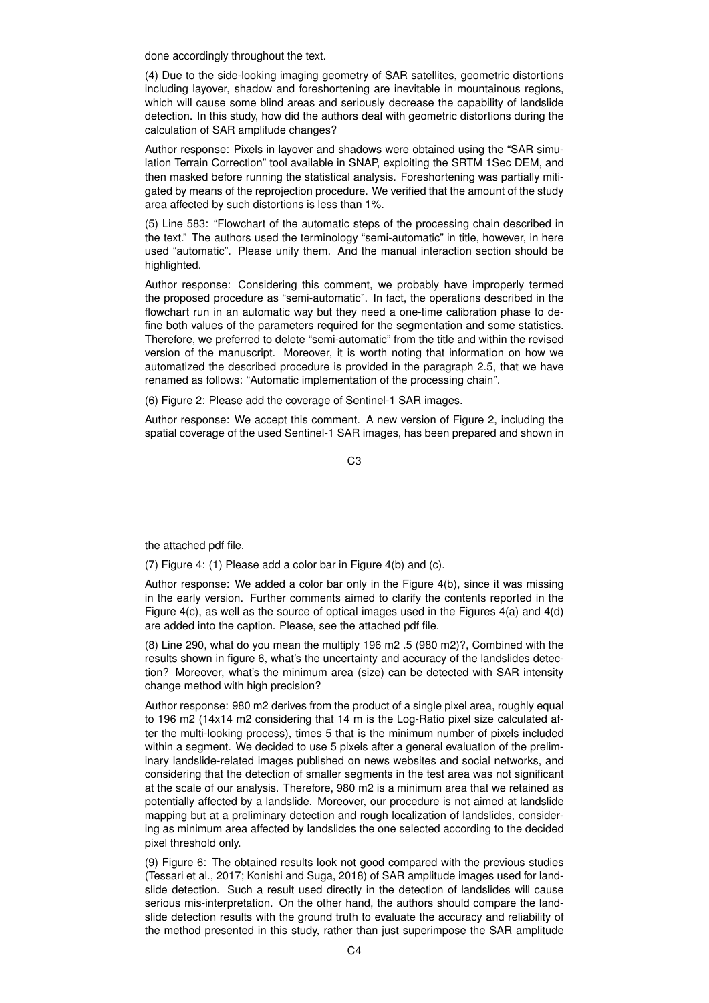done accordingly throughout the text.

(4) Due to the side-looking imaging geometry of SAR satellites, geometric distortions including layover, shadow and foreshortening are inevitable in mountainous regions, which will cause some blind areas and seriously decrease the capability of landslide detection. In this study, how did the authors deal with geometric distortions during the calculation of SAR amplitude changes?

Author response: Pixels in layover and shadows were obtained using the "SAR simulation Terrain Correction" tool available in SNAP, exploiting the SRTM 1Sec DEM, and then masked before running the statistical analysis. Foreshortening was partially mitigated by means of the reprojection procedure. We verified that the amount of the study area affected by such distortions is less than 1%.

(5) Line 583: "Flowchart of the automatic steps of the processing chain described in the text." The authors used the terminology "semi-automatic" in title, however, in here used "automatic". Please unify them. And the manual interaction section should be highlighted.

Author response: Considering this comment, we probably have improperly termed the proposed procedure as "semi-automatic". In fact, the operations described in the flowchart run in an automatic way but they need a one-time calibration phase to define both values of the parameters required for the segmentation and some statistics. Therefore, we preferred to delete "semi-automatic" from the title and within the revised version of the manuscript. Moreover, it is worth noting that information on how we automatized the described procedure is provided in the paragraph 2.5, that we have renamed as follows: "Automatic implementation of the processing chain".

(6) Figure 2: Please add the coverage of Sentinel-1 SAR images.

Author response: We accept this comment. A new version of Figure 2, including the spatial coverage of the used Sentinel-1 SAR images, has been prepared and shown in

C3

the attached pdf file.

(7) Figure 4: (1) Please add a color bar in Figure 4(b) and (c).

Author response: We added a color bar only in the Figure 4(b), since it was missing in the early version. Further comments aimed to clarify the contents reported in the Figure 4(c), as well as the source of optical images used in the Figures 4(a) and 4(d) are added into the caption. Please, see the attached pdf file.

(8) Line 290, what do you mean the multiply 196 m2 .5 (980 m2)?, Combined with the results shown in figure 6, what's the uncertainty and accuracy of the landslides detection? Moreover, what's the minimum area (size) can be detected with SAR intensity change method with high precision?

Author response: 980 m2 derives from the product of a single pixel area, roughly equal to 196 m2 (14x14 m2 considering that 14 m is the Log-Ratio pixel size calculated after the multi-looking process), times 5 that is the minimum number of pixels included within a segment. We decided to use 5 pixels after a general evaluation of the preliminary landslide-related images published on news websites and social networks, and considering that the detection of smaller segments in the test area was not significant at the scale of our analysis. Therefore, 980 m2 is a minimum area that we retained as potentially affected by a landslide. Moreover, our procedure is not aimed at landslide mapping but at a preliminary detection and rough localization of landslides, considering as minimum area affected by landslides the one selected according to the decided pixel threshold only.

(9) Figure 6: The obtained results look not good compared with the previous studies (Tessari et al., 2017; Konishi and Suga, 2018) of SAR amplitude images used for landslide detection. Such a result used directly in the detection of landslides will cause serious mis-interpretation. On the other hand, the authors should compare the landslide detection results with the ground truth to evaluate the accuracy and reliability of the method presented in this study, rather than just superimpose the SAR amplitude